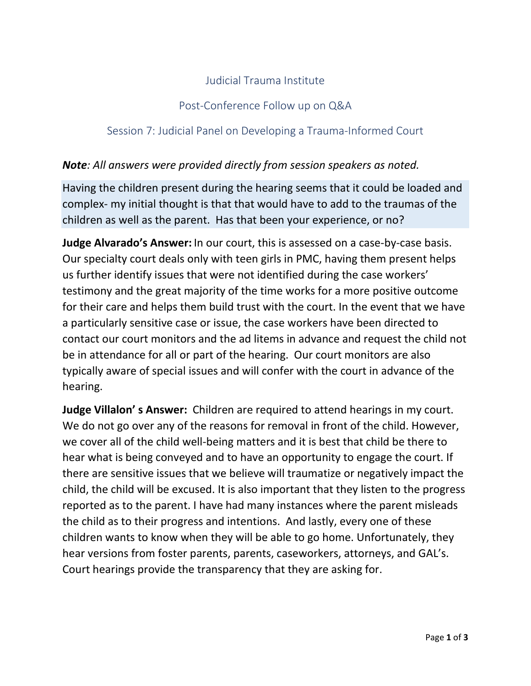# Judicial Trauma Institute

## Post-Conference Follow up on Q&A

## Session 7: Judicial Panel on Developing a Trauma-Informed Court

### *Note: All answers were provided directly from session speakers as noted.*

Having the children present during the hearing seems that it could be loaded and complex- my initial thought is that that would have to add to the traumas of the children as well as the parent. Has that been your experience, or no?

**Judge Alvarado's Answer:** In our court, this is assessed on a case-by-case basis. Our specialty court deals only with teen girls in PMC, having them present helps us further identify issues that were not identified during the case workers' testimony and the great majority of the time works for a more positive outcome for their care and helps them build trust with the court. In the event that we have a particularly sensitive case or issue, the case workers have been directed to contact our court monitors and the ad litems in advance and request the child not be in attendance for all or part of the hearing. Our court monitors are also typically aware of special issues and will confer with the court in advance of the hearing.

**Judge Villalon' s Answer:** Children are required to attend hearings in my court. We do not go over any of the reasons for removal in front of the child. However, we cover all of the child well-being matters and it is best that child be there to hear what is being conveyed and to have an opportunity to engage the court. If there are sensitive issues that we believe will traumatize or negatively impact the child, the child will be excused. It is also important that they listen to the progress reported as to the parent. I have had many instances where the parent misleads the child as to their progress and intentions. And lastly, every one of these children wants to know when they will be able to go home. Unfortunately, they hear versions from foster parents, parents, caseworkers, attorneys, and GAL's. Court hearings provide the transparency that they are asking for.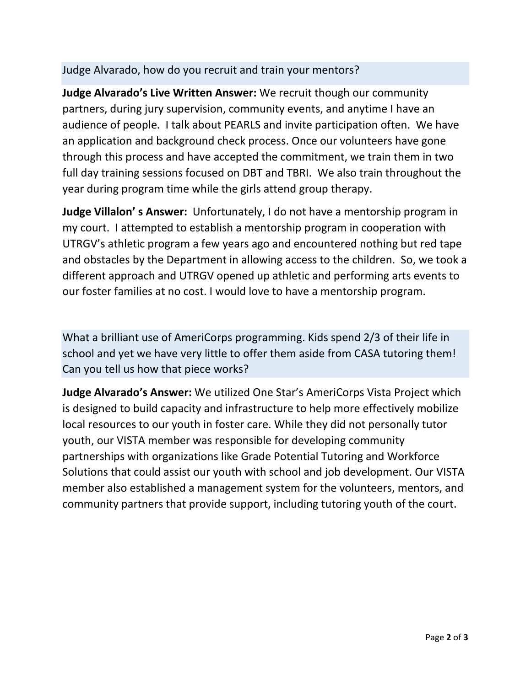## Judge Alvarado, how do you recruit and train your mentors?

**Judge Alvarado's Live Written Answer:** We recruit though our community partners, during jury supervision, community events, and anytime I have an audience of people. I talk about PEARLS and invite participation often. We have an application and background check process. Once our volunteers have gone through this process and have accepted the commitment, we train them in two full day training sessions focused on DBT and TBRI. We also train throughout the year during program time while the girls attend group therapy.

**Judge Villalon' s Answer:** Unfortunately, I do not have a mentorship program in my court. I attempted to establish a mentorship program in cooperation with UTRGV's athletic program a few years ago and encountered nothing but red tape and obstacles by the Department in allowing access to the children. So, we took a different approach and UTRGV opened up athletic and performing arts events to our foster families at no cost. I would love to have a mentorship program.

What a brilliant use of AmeriCorps programming. Kids spend 2/3 of their life in school and yet we have very little to offer them aside from CASA tutoring them! Can you tell us how that piece works?

**Judge Alvarado's Answer:** We utilized One Star's AmeriCorps Vista Project which is designed to build capacity and infrastructure to help more effectively mobilize local resources to our youth in foster care. While they did not personally tutor youth, our VISTA member was responsible for developing community partnerships with organizations like Grade Potential Tutoring and Workforce Solutions that could assist our youth with school and job development. Our VISTA member also established a management system for the volunteers, mentors, and community partners that provide support, including tutoring youth of the court.